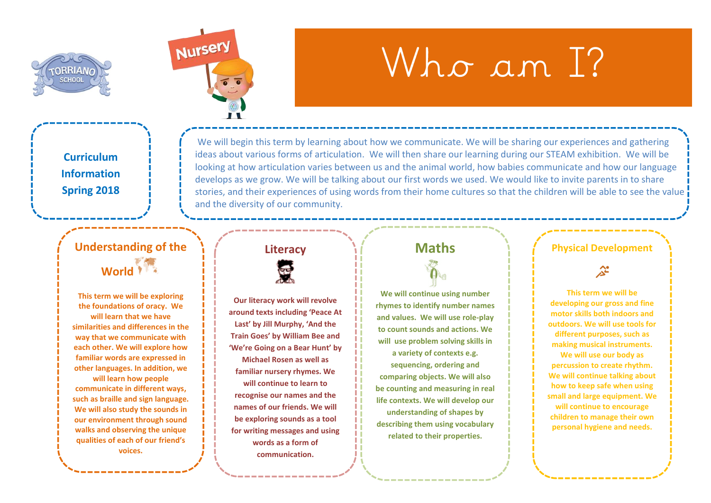



# Who am I?

**Curriculum Information Spring 2018**

We will begin this term by learning about how we communicate. We will be sharing our experiences and gathering ideas about various forms of articulation. We will then share our learning during our STEAM exhibition. We will be looking at how articulation varies between us and the animal world, how babies communicate and how our language develops as we grow. We will be talking about our first words we used. We would like to invite parents in to share stories, and their experiences of using words from their home cultures so that the children will be able to see the value and the diversity of our community.

# **Understanding of the**  World

**This term we will be exploring the foundations of oracy. We will learn that we have similarities and differences in the way that we communicate with each other. We will explore how familiar words are expressed in other languages. In addition, we will learn how people communicate in different ways, such as braille and sign language. We will also study the sounds in our environment through sound walks and observing the unique qualities of each of our friend's voices.** 

# **Literacy**



**Our literacy work will revolve around texts including 'Peace At Last' by Jill Murphy, 'And the Train Goes' by William Bee and 'We're Going on a Bear Hunt' by Michael Rosen as well as familiar nursery rhymes. We will continue to learn to recognise our names and the names of our friends. We will be exploring sounds as a tool for writing messages and using words as a form of communication.** 

## **Maths**

**We will continue using number rhymes to identify number names and values. We will use role-play to count sounds and actions. We will use problem solving skills in a variety of contexts e.g. sequencing, ordering and comparing objects. We will also be counting and measuring in real life contexts. We will develop our understanding of shapes by describing them using vocabulary related to their properties.**

#### **Physical Development**

소

**This term we will be developing our gross and fine motor skills both indoors and outdoors. We will use tools for different purposes, such as making musical instruments.** 

**We will use our body as percussion to create rhythm. We will continue talking about how to keep safe when using small and large equipment. We will continue to encourage children to manage their own personal hygiene and needs.**